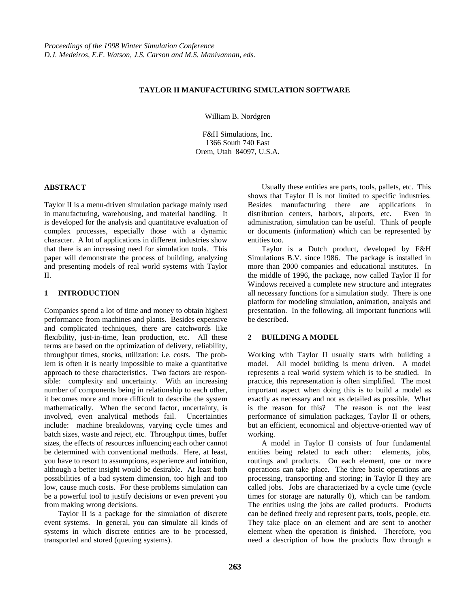## **TAYLOR II MANUFACTURING SIMULATION SOFTWARE**

William B. Nordgren

F&H Simulations, Inc. 1366 South 740 East Orem, Utah 84097, U.S.A.

## **ABSTRACT**

Taylor II is a menu-driven simulation package mainly used in manufacturing, warehousing, and material handling. It is developed for the analysis and quantitative evaluation of complex processes, especially those with a dynamic character. A lot of applications in different industries show that there is an increasing need for simulation tools. This paper will demonstrate the process of building, analyzing and presenting models of real world systems with Taylor II.

# **1 INTRODUCTION**

Companies spend a lot of time and money to obtain highest performance from machines and plants. Besides expensive and complicated techniques, there are catchwords like flexibility, just-in-time, lean production, etc. All these terms are based on the optimization of delivery, reliability, throughput times, stocks, utilization: i.e. costs. The problem is often it is nearly impossible to make a quantitative approach to these characteristics. Two factors are responsible: complexity and uncertainty. With an increasing number of components being in relationship to each other, it becomes more and more difficult to describe the system mathematically. When the second factor, uncertainty, is involved, even analytical methods fail. Uncertainties include: machine breakdowns, varying cycle times and batch sizes, waste and reject, etc. Throughput times, buffer sizes, the effects of resources influencing each other cannot be determined with conventional methods. Here, at least, you have to resort to assumptions, experience and intuition, although a better insight would be desirable. At least both possibilities of a bad system dimension, too high and too low, cause much costs. For these problems simulation can be a powerful tool to justify decisions or even prevent you from making wrong decisions.

Taylor II is a package for the simulation of discrete event systems. In general, you can simulate all kinds of systems in which discrete entities are to be processed, transported and stored (queuing systems).

Usually these entities are parts, tools, pallets, etc. This shows that Taylor II is not limited to specific industries. Besides manufacturing there are applications in distribution centers, harbors, airports, etc. Even in administration, simulation can be useful. Think of people or documents (information) which can be represented by entities too.

Taylor is a Dutch product, developed by F&H Simulations B.V. since 1986. The package is installed in more than 2000 companies and educational institutes. In the middle of 1996, the package, now called Taylor II for Windows received a complete new structure and integrates all necessary functions for a simulation study. There is one platform for modeling simulation, animation, analysis and presentation. In the following, all important functions will be described.

# **2 BUILDING A MODEL**

Working with Taylor II usually starts with building a model. All model building is menu driven. A model represents a real world system which is to be studied. In practice, this representation is often simplified. The most important aspect when doing this is to build a model as exactly as necessary and not as detailed as possible. What is the reason for this? The reason is not the least performance of simulation packages, Taylor II or others, but an efficient, economical and objective-oriented way of working.

A model in Taylor II consists of four fundamental entities being related to each other: elements, jobs, routings and products. On each element, one or more operations can take place. The three basic operations are processing, transporting and storing; in Taylor II they are called jobs. Jobs are characterized by a cycle time (cycle times for storage are naturally 0), which can be random. The entities using the jobs are called products. Products can be defined freely and represent parts, tools, people, etc. They take place on an element and are sent to another element when the operation is finished. Therefore, you need a description of how the products flow through a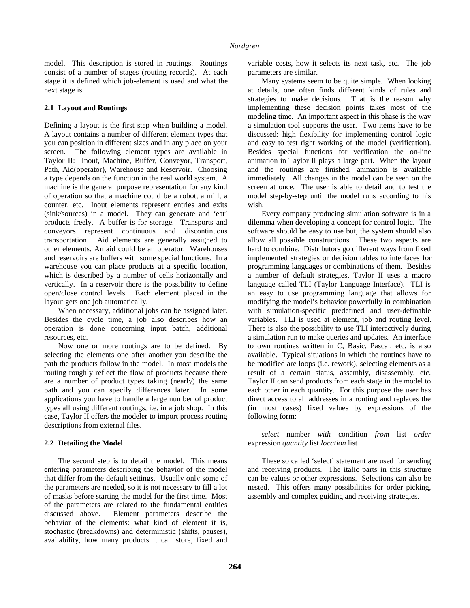model. This description is stored in routings. Routings consist of a number of stages (routing records). At each stage it is defined which job-element is used and what the next stage is.

#### **2.1 Layout and Routings**

Defining a layout is the first step when building a model. A layout contains a number of different element types that you can position in different sizes and in any place on your screen. The following element types are available in Taylor II: Inout, Machine, Buffer, Conveyor, Transport, Path, Aid(operator), Warehouse and Reservoir. Choosing a type depends on the function in the real world system. A machine is the general purpose representation for any kind of operation so that a machine could be a robot, a mill, a counter, etc. Inout elements represent entries and exits (sink/sources) in a model. They can generate and 'eat' products freely. A buffer is for storage. Transports and conveyors represent continuous and discontinuous transportation. Aid elements are generally assigned to other elements. An aid could be an operator. Warehouses and reservoirs are buffers with some special functions. In a warehouse you can place products at a specific location, which is described by a number of cells horizontally and vertically. In a reservoir there is the possibility to define open/close control levels. Each element placed in the layout gets one job automatically.

When necessary, additional jobs can be assigned later. Besides the cycle time, a job also describes how an operation is done concerning input batch, additional resources, etc.

Now one or more routings are to be defined. By selecting the elements one after another you describe the path the products follow in the model. In most models the routing roughly reflect the flow of products because there are a number of product types taking (nearly) the same path and you can specify differences later. In some applications you have to handle a large number of product types all using different routings, i.e. in a job shop. In this case, Taylor II offers the modeler to import process routing descriptions from external files.

#### **2.2 Detailing the Model**

The second step is to detail the model. This means entering parameters describing the behavior of the model that differ from the default settings. Usually only some of the parameters are needed, so it is not necessary to fill a lot of masks before starting the model for the first time. Most of the parameters are related to the fundamental entities discussed above. Element parameters describe the behavior of the elements: what kind of element it is, stochastic (breakdowns) and deterministic (shifts, pauses), availability, how many products it can store, fixed and

variable costs, how it selects its next task, etc. The job parameters are similar.

Many systems seem to be quite simple. When looking at details, one often finds different kinds of rules and strategies to make decisions. That is the reason why implementing these decision points takes most of the modeling time. An important aspect in this phase is the way a simulation tool supports the user. Two items have to be discussed: high flexibility for implementing control logic and easy to test right working of the model (verification). Besides special functions for verification the on-line animation in Taylor II plays a large part. When the layout and the routings are finished, animation is available immediately. All changes in the model can be seen on the screen at once. The user is able to detail and to test the model step-by-step until the model runs according to his wish.

Every company producing simulation software is in a dilemma when developing a concept for control logic. The software should be easy to use but, the system should also allow all possible constructions. These two aspects are hard to combine. Distributors go different ways from fixed implemented strategies or decision tables to interfaces for programming languages or combinations of them. Besides a number of default strategies, Taylor II uses a macro language called TLI (Taylor Language Interface). TLI is an easy to use programming language that allows for modifying the model's behavior powerfully in combination with simulation-specific predefined and user-definable variables. TLI is used at element, job and routing level. There is also the possibility to use TLI interactively during a simulation run to make queries and updates. An interface to own routines written in C, Basic, Pascal, etc. is also available. Typical situations in which the routines have to be modified are loops (i.e. rework), selecting elements as a result of a certain status, assembly, disassembly, etc. Taylor II can send products from each stage in the model to each other in each quantity. For this purpose the user has direct access to all addresses in a routing and replaces the (in most cases) fixed values by expressions of the following form:

*select* number *with* condition *from* list *order* expression *quantity* list *location* list

These so called 'select' statement are used for sending and receiving products. The italic parts in this structure can be values or other expressions. Selections can also be nested. This offers many possibilities for order picking, assembly and complex guiding and receiving strategies.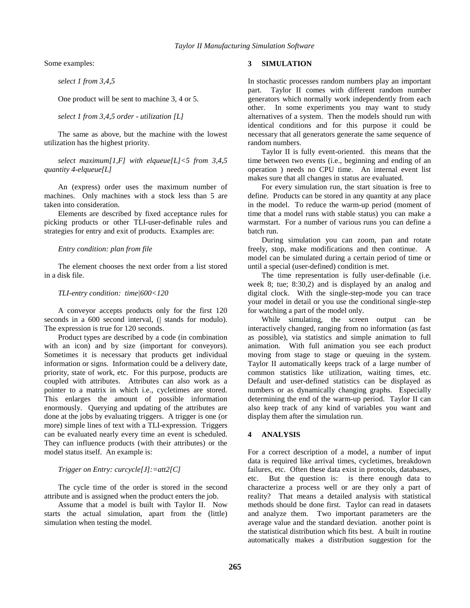Some examples:

*select 1 from 3,4,5*

One product will be sent to machine 3, 4 or 5.

*select 1 from 3,4,5 order - utilization [L]*

The same as above, but the machine with the lowest utilization has the highest priority.

*select maximum[1,F] with elqueue[L]<5 from 3,4,5 quantity 4-elqueue[L]*

An (express) order uses the maximum number of machines. Only machines with a stock less than 5 are taken into consideration.

Elements are described by fixed acceptance rules for picking products or other TLI-user-definable rules and strategies for entry and exit of products. Examples are:

### *Entry condition: plan from file*

The element chooses the next order from a list stored in a disk file.

### *TLI-entry condition: time|600<120*

A conveyor accepts products only for the first 120 seconds in a 600 second interval, ( stands for modulo). The expression is true for 120 seconds.

Product types are described by a code (in combination with an icon) and by size (important for conveyors). Sometimes it is necessary that products get individual information or signs. Information could be a delivery date, priority, state of work, etc. For this purpose, products are coupled with attributes. Attributes can also work as a pointer to a matrix in which i.e., cycletimes are stored. This enlarges the amount of possible information enormously. Querying and updating of the attributes are done at the jobs by evaluating triggers. A trigger is one (or more) simple lines of text with a TLI-expression. Triggers can be evaluated nearly every time an event is scheduled. They can influence products (with their attributes) or the model status itself. An example is:

### *Trigger on Entry: curcycle[J]:=att2[C]*

The cycle time of the order is stored in the second attribute and is assigned when the product enters the job.

Assume that a model is built with Taylor II. Now starts the actual simulation, apart from the (little) simulation when testing the model.

## **3 SIMULATION**

In stochastic processes random numbers play an important part. Taylor II comes with different random number generators which normally work independently from each other. In some experiments you may want to study alternatives of a system. Then the models should run with identical conditions and for this purpose it could be necessary that all generators generate the same sequence of random numbers.

Taylor II is fully event-oriented. this means that the time between two events (i.e., beginning and ending of an operation ) needs no CPU time. An internal event list makes sure that all changes in status are evaluated.

For every simulation run, the start situation is free to define. Products can be stored in any quantity at any place in the model. To reduce the warm-up period (moment of time that a model runs with stable status) you can make a warmstart. For a number of various runs you can define a batch run.

During simulation you can zoom, pan and rotate freely, stop, make modifications and then continue. A model can be simulated during a certain period of time or until a special (user-defined) condition is met.

The time representation is fully user-definable (i.e. week 8; tue; 8:30,2) and is displayed by an analog and digital clock. With the single-step-mode you can trace your model in detail or you use the conditional single-step for watching a part of the model only.

While simulating, the screen output can be interactively changed, ranging from no information (as fast as possible), via statistics and simple animation to full animation. With full animation you see each product moving from stage to stage or queuing in the system. Taylor II automatically keeps track of a large number of common statistics like utilization, waiting times, etc. Default and user-defined statistics can be displayed as numbers or as dynamically changing graphs. Especially determining the end of the warm-up period. Taylor II can also keep track of any kind of variables you want and display them after the simulation run.

# **4 ANALYSIS**

For a correct description of a model, a number of input data is required like arrival times, cycletimes, breakdown failures, etc. Often these data exist in protocols, databases, etc. But the question is: is there enough data to characterize a process well or are they only a part of reality? That means a detailed analysis with statistical methods should be done first. Taylor can read in datasets and analyze them. Two important parameters are the average value and the standard deviation. another point is the statistical distribution which fits best. A built in routine automatically makes a distribution suggestion for the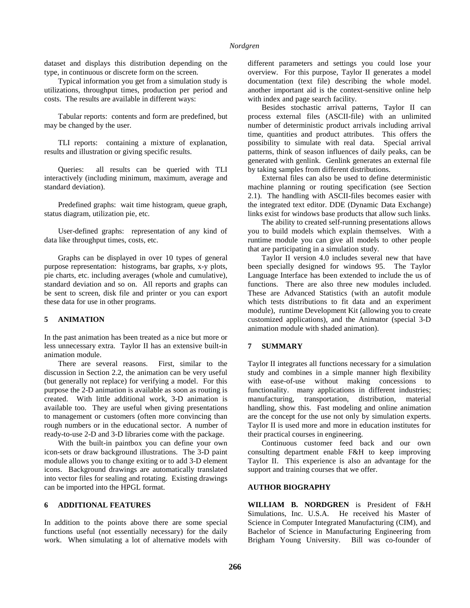dataset and displays this distribution depending on the type, in continuous or discrete form on the screen.

Typical information you get from a simulation study is utilizations, throughput times, production per period and costs. The results are available in different ways:

Tabular reports: contents and form are predefined, but may be changed by the user.

TLI reports: containing a mixture of explanation, results and illustration or giving specific results.

Queries: all results can be queried with TLI interactively (including minimum, maximum, average and standard deviation).

Predefined graphs: wait time histogram, queue graph, status diagram, utilization pie, etc.

User-defined graphs: representation of any kind of data like throughput times, costs, etc.

Graphs can be displayed in over 10 types of general purpose representation: histograms, bar graphs, x-y plots, pie charts, etc. including averages (whole and cumulative), standard deviation and so on. All reports and graphs can be sent to screen, disk file and printer or you can export these data for use in other programs.

## **5 ANIMATION**

In the past animation has been treated as a nice but more or less unnecessary extra. Taylor II has an extensive built-in animation module.

There are several reasons. First, similar to the discussion in Section 2.2, the animation can be very useful (but generally not replace) for verifying a model. For this purpose the 2-D animation is available as soon as routing is created. With little additional work, 3-D animation is available too. They are useful when giving presentations to management or customers (often more convincing than rough numbers or in the educational sector. A number of ready-to-use 2-D and 3-D libraries come with the package.

With the built-in paintbox you can define your own icon-sets or draw background illustrations. The 3-D paint module allows you to change exiting or to add 3-D element icons. Background drawings are automatically translated into vector files for sealing and rotating. Existing drawings can be imported into the HPGL format.

#### **6 ADDITIONAL FEATURES**

In addition to the points above there are some special functions useful (not essentially necessary) for the daily work. When simulating a lot of alternative models with different parameters and settings you could lose your overview. For this purpose, Taylor II generates a model documentation (text file) describing the whole model. another important aid is the context-sensitive online help with index and page search facility.

Besides stochastic arrival patterns, Taylor II can process external files (ASCII-file) with an unlimited number of deterministic product arrivals including arrival time, quantities and product attributes. This offers the possibility to simulate with real data. Special arrival patterns, think of season influences of daily peaks, can be generated with genlink. Genlink generates an external file by taking samples from different distributions.

External files can also be used to define deterministic machine planning or routing specification (see Section 2.1). The handling with ASCII-files becomes easier with the integrated text editor. DDE (Dynamic Data Exchange) links exist for windows base products that allow such links.

The ability to created self-running presentations allows you to build models which explain themselves. With a runtime module you can give all models to other people that are participating in a simulation study.

Taylor II version 4.0 includes several new that have been specially designed for windows 95. The Taylor Language Interface has been extended to include the us of functions. There are also three new modules included. These are Advanced Statistics (with an autofit module which tests distributions to fit data and an experiment module), runtime Development Kit (allowing you to create customized applications), and the Animator (special 3-D animation module with shaded animation).

### **7 SUMMARY**

Taylor II integrates all functions necessary for a simulation study and combines in a simple manner high flexibility with ease-of-use without making concessions to functionality. many applications in different industries; manufacturing, transportation, distribution, material handling, show this. Fast modeling and online animation are the concept for the use not only by simulation experts. Taylor II is used more and more in education institutes for their practical courses in engineering.

Continuous customer feed back and our own consulting department enable F&H to keep improving Taylor II. This experience is also an advantage for the support and training courses that we offer.

#### **AUTHOR BIOGRAPHY**

**WILLIAM B. NORDGREN** is President of F&H Simulations, Inc. U.S.A. He received his Master of Science in Computer Integrated Manufacturing (CIM), and Bachelor of Science in Manufacturing Engineering from Brigham Young University. Bill was co-founder of